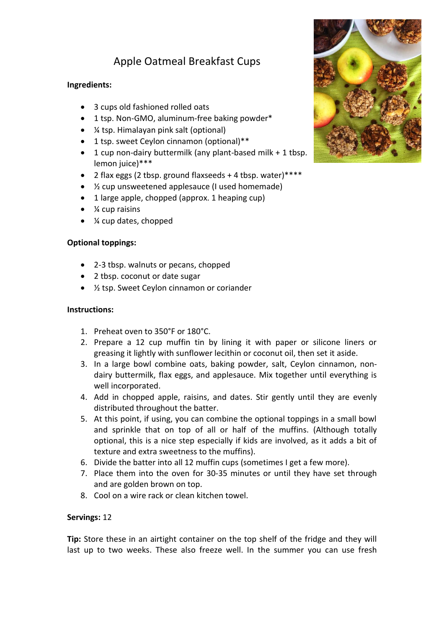# Apple Oatmeal Breakfast Cups

## **Ingredients:**

- 3 cups old fashioned rolled oats
- 1 tsp. Non-GMO, aluminum-free baking powder\*
- ¼ tsp. Himalayan pink salt (optional)
- 1 tsp. sweet Ceylon cinnamon (optional)\*\*
- 1 cup non-dairy buttermilk (any plant-based milk + 1 tbsp. lemon juice)\*\*\*
- 2 flax eggs (2 tbsp. ground flaxseeds + 4 tbsp. water)\*\*\*\*
- ½ cup unsweetened applesauce (I used homemade)
- 1 large apple, chopped (approx. 1 heaping cup)
- ¼ cup raisins
- ¼ cup dates, chopped

## **Optional toppings:**

- 2-3 tbsp. walnuts or pecans, chopped
- 2 tbsp. coconut or date sugar
- 1/<sub>2</sub> tsp. Sweet Ceylon cinnamon or coriander

#### **Instructions:**

- 1. Preheat oven to 350°F or 180°C.
- 2. Prepare a 12 cup muffin tin by lining it with paper or silicone liners or greasing it lightly with sunflower lecithin or coconut oil, then set it aside.
- 3. In a large bowl combine oats, baking powder, salt, Ceylon cinnamon, nondairy buttermilk, flax eggs, and applesauce. Mix together until everything is well incorporated.
- 4. Add in chopped apple, raisins, and dates. Stir gently until they are evenly distributed throughout the batter.
- 5. At this point, if using, you can combine the optional toppings in a small bowl and sprinkle that on top of all or half of the muffins. (Although totally optional, this is a nice step especially if kids are involved, as it adds a bit of texture and extra sweetness to the muffins).
- 6. Divide the batter into all 12 muffin cups (sometimes I get a few more).
- 7. Place them into the oven for 30-35 minutes or until they have set through and are golden brown on top.
- 8. Cool on a wire rack or clean kitchen towel.

#### **Servings:** 12

**Tip:** Store these in an airtight container on the top shelf of the fridge and they will last up to two weeks. These also freeze well. In the summer you can use fresh